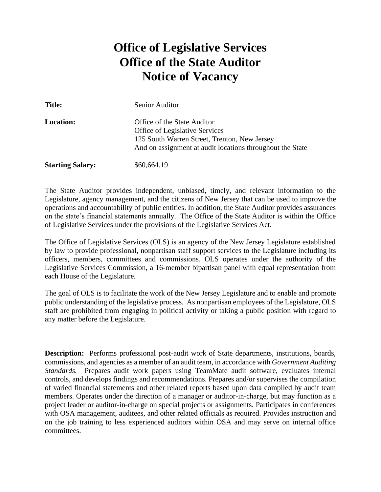# **Office of Legislative Services Office of the State Auditor Notice of Vacancy**

| <b>Title:</b>           | Senior Auditor                                                                                                                                                                    |
|-------------------------|-----------------------------------------------------------------------------------------------------------------------------------------------------------------------------------|
| <b>Location:</b>        | Office of the State Auditor<br><b>Office of Legislative Services</b><br>125 South Warren Street, Trenton, New Jersey<br>And on assignment at audit locations throughout the State |
| <b>Starting Salary:</b> | \$60,664.19                                                                                                                                                                       |

The State Auditor provides independent, unbiased, timely, and relevant information to the Legislature, agency management, and the citizens of New Jersey that can be used to improve the operations and accountability of public entities. In addition, the State Auditor provides assurances on the state's financial statements annually. The Office of the State Auditor is within the Office of Legislative Services under the provisions of the Legislative Services Act.

The Office of Legislative Services (OLS) is an agency of the New Jersey Legislature established by law to provide professional, nonpartisan staff support services to the Legislature including its officers, members, committees and commissions. OLS operates under the authority of the Legislative Services Commission, a 16-member bipartisan panel with equal representation from each House of the Legislature.

The goal of OLS is to facilitate the work of the New Jersey Legislature and to enable and promote public understanding of the legislative process. As nonpartisan employees of the Legislature, OLS staff are prohibited from engaging in political activity or taking a public position with regard to any matter before the Legislature.

**Description:** Performs professional post-audit work of State departments, institutions, boards, commissions, and agencies as a member of an audit team, in accordance with *Government Auditing Standards.* Prepares audit work papers using TeamMate audit software, evaluates internal controls, and develops findings and recommendations. Prepares and/or supervises the compilation of varied financial statements and other related reports based upon data compiled by audit team members. Operates under the direction of a manager or auditor-in-charge, but may function as a project leader or auditor-in-charge on special projects or assignments. Participates in conferences with OSA management, auditees, and other related officials as required. Provides instruction and on the job training to less experienced auditors within OSA and may serve on internal office committees.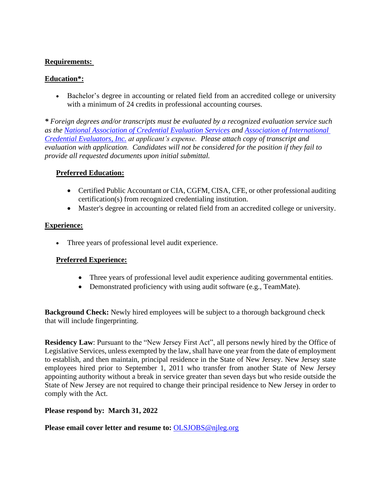### **Requirements:**

## **Education\*:**

• Bachelor's degree in accounting or related field from an accredited college or university with a minimum of 24 credits in professional accounting courses.

*\* Foreign degrees and/or transcripts must be evaluated by a recognized evaluation service such as the [National Association of Credential Evaluation Services](http://www.naces.org/) and [Association of International](http://aice-eval.org/)  [Credential Evaluators, Inc.](http://aice-eval.org/) at applicant's expense. Please attach copy of transcript and evaluation with application. Candidates will not be considered for the position if they fail to provide all requested documents upon initial submittal.*

### **Preferred Education:**

- Certified Public Accountant or CIA, CGFM, CISA, CFE, or other professional auditing certification(s) from recognized credentialing institution.
- Master's degree in accounting or related field from an accredited college or university.

### **Experience:**

• Three years of professional level audit experience.

### **Preferred Experience:**

- Three years of professional level audit experience auditing governmental entities.
- Demonstrated proficiency with using audit software (e.g., TeamMate).

**Background Check:** Newly hired employees will be subject to a thorough background check that will include fingerprinting.

**Residency Law**: Pursuant to the "New Jersey First Act", all persons newly hired by the Office of Legislative Services, unless exempted by the law, shall have one year from the date of employment to establish, and then maintain, principal residence in the State of New Jersey. New Jersey state employees hired prior to September 1, 2011 who transfer from another State of New Jersey appointing authority without a break in service greater than seven days but who reside outside the State of New Jersey are not required to change their principal residence to New Jersey in order to comply with the Act.

### **Please respond by: March 31, 2022**

**Please email cover letter and resume to:** OLSJOBS@njleg.org